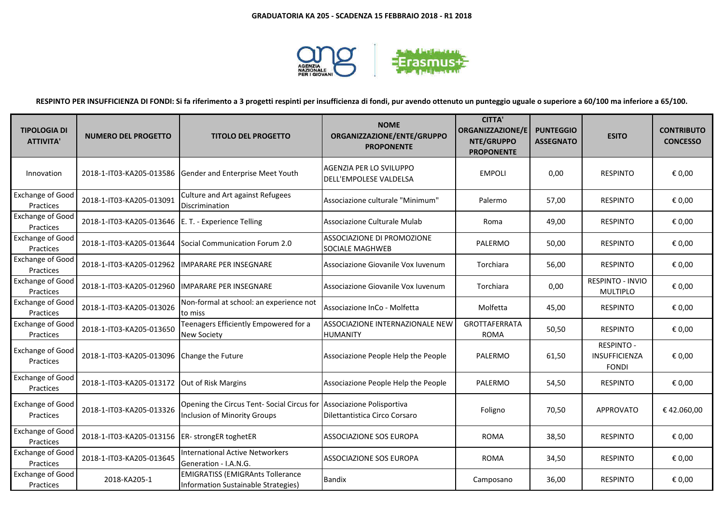

**RESPINTO PER INSUFFICIENZA DI FONDI: Si fa riferimento a 3 progetti respinti per insufficienza di fondi, pur avendo ottenuto un punteggio uguale o superiore a 60/100 ma inferiore a 65/100.**

| <b>TIPOLOGIA DI</b><br><b>ATTIVITA'</b> | <b>NUMERO DEL PROGETTO</b>                            | <b>TITOLO DEL PROGETTO</b>                                                                                  | <b>NOME</b><br>ORGANIZZAZIONE/ENTE/GRUPPO<br><b>PROPONENTE</b> | <b>CITTA'</b><br>ORGANIZZAZIONE/E<br>NTE/GRUPPO<br><b>PROPONENTE</b> | <b>PUNTEGGIO</b><br><b>ASSEGNATO</b> | <b>ESITO</b>                                       | <b>CONTRIBUTO</b><br><b>CONCESSO</b> |
|-----------------------------------------|-------------------------------------------------------|-------------------------------------------------------------------------------------------------------------|----------------------------------------------------------------|----------------------------------------------------------------------|--------------------------------------|----------------------------------------------------|--------------------------------------|
| Innovation                              |                                                       | 2018-1-IT03-KA205-013586 Gender and Enterprise Meet Youth                                                   | AGENZIA PER LO SVILUPPO<br>DELL'EMPOLESE VALDELSA              | <b>EMPOLI</b>                                                        | 0,00                                 | <b>RESPINTO</b>                                    | € 0,00                               |
| <b>Exchange of Good</b><br>Practices    | 2018-1-IT03-KA205-013091                              | Culture and Art against Refugees<br>Discrimination                                                          | Associazione culturale "Minimum"                               | Palermo                                                              | 57,00                                | <b>RESPINTO</b>                                    | € 0,00                               |
| Exchange of Good<br>Practices           | 2018-1-IT03-KA205-013646   E. T. - Experience Telling |                                                                                                             | Associazione Culturale Mulab                                   | Roma                                                                 | 49,00                                | <b>RESPINTO</b>                                    | € 0,00                               |
| <b>Exchange of Good</b><br>Practices    | 2018-1-IT03-KA205-013644                              | Social Communication Forum 2.0                                                                              | ASSOCIAZIONE DI PROMOZIONE<br>SOCIALE MAGHWEB                  | PALERMO                                                              | 50,00                                | <b>RESPINTO</b>                                    | € 0,00                               |
| <b>Exchange of Good</b><br>Practices    | 2018-1-IT03-KA205-012962                              | <b>IMPARARE PER INSEGNARE</b>                                                                               | Associazione Giovanile Vox Iuvenum                             | Torchiara                                                            | 56,00                                | <b>RESPINTO</b>                                    | € 0,00                               |
| <b>Exchange of Good</b><br>Practices    | 2018-1-IT03-KA205-012960                              | <b>IMPARARE PER INSEGNARE</b>                                                                               | Associazione Giovanile Vox Iuvenum                             | Torchiara                                                            | 0,00                                 | RESPINTO - INVIO<br><b>MULTIPLO</b>                | € 0,00                               |
| <b>Exchange of Good</b><br>Practices    | 2018-1-IT03-KA205-013026                              | Non-formal at school: an experience not<br>to miss                                                          | Associazione InCo - Molfetta                                   | Molfetta                                                             | 45,00                                | <b>RESPINTO</b>                                    | € 0,00                               |
| <b>Exchange of Good</b><br>Practices    | 2018-1-IT03-KA205-013650                              | Teenagers Efficiently Empowered for a<br><b>New Society</b>                                                 | ASSOCIAZIONE INTERNAZIONALE NEW<br><b>HUMANITY</b>             | GROTTAFERRATA<br><b>ROMA</b>                                         | 50,50                                | <b>RESPINTO</b>                                    | € 0,00                               |
| <b>Exchange of Good</b><br>Practices    | 2018-1-IT03-KA205-013096                              | Change the Future                                                                                           | Associazione People Help the People                            | PALERMO                                                              | 61,50                                | <b>RESPINTO -</b><br>INSUFFICIENZA<br><b>FONDI</b> | € 0,00                               |
| <b>Exchange of Good</b><br>Practices    | 2018-1-IT03-KA205-013172                              | Out of Risk Margins                                                                                         | Associazione People Help the People                            | PALERMO                                                              | 54,50                                | <b>RESPINTO</b>                                    | € 0,00                               |
| <b>Exchange of Good</b><br>Practices    | 2018-1-IT03-KA205-013326                              | Opening the Circus Tent- Social Circus for Associazione Polisportiva<br><b>Inclusion of Minority Groups</b> | Dilettantistica Circo Corsaro                                  | Foligno                                                              | 70,50                                | <b>APPROVATO</b>                                   | €42.060,00                           |
| <b>Exchange of Good</b><br>Practices    | 2018-1-IT03-KA205-013156                              | ER- strongER toghetER                                                                                       | ASSOCIAZIONE SOS EUROPA                                        | <b>ROMA</b>                                                          | 38,50                                | <b>RESPINTO</b>                                    | € 0,00                               |
| <b>Exchange of Good</b><br>Practices    | 2018-1-IT03-KA205-013645                              | <b>International Active Networkers</b><br>Generation - I.A.N.G.                                             | ASSOCIAZIONE SOS EUROPA                                        | <b>ROMA</b>                                                          | 34,50                                | <b>RESPINTO</b>                                    | € 0,00                               |
| Exchange of Good<br>Practices           | 2018-KA205-1                                          | <b>EMIGRATISS (EMIGRAnts Tollerance</b><br>Information Sustainable Strategies)                              | <b>Bandix</b>                                                  | Camposano                                                            | 36,00                                | <b>RESPINTO</b>                                    | € 0,00                               |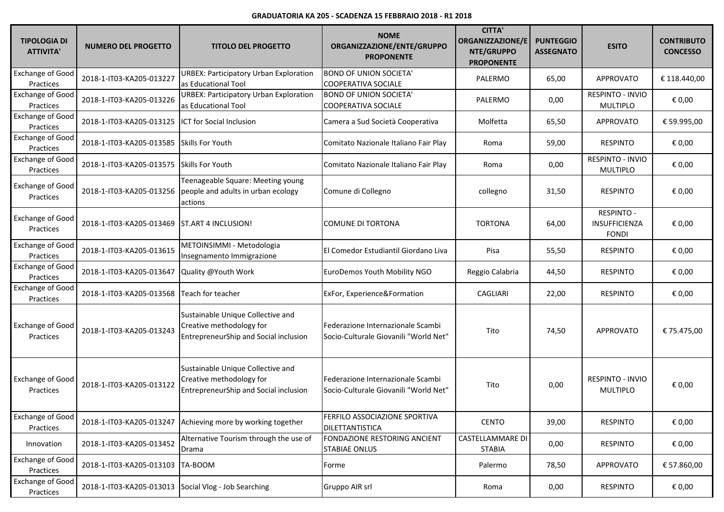## **GRADUATORIA KA 205 - SCADENZA 15 FEBBRAIO 2018 - R1 2018**

| <b>TIPOLOGIA DI</b><br><b>ATTIVITA'</b> | <b>NUMERO DEL PROGETTO</b>                           | <b>TITOLO DEL PROGETTO</b>                                                                             | <b>NOME</b><br>ORGANIZZAZIONE/ENTE/GRUPPO<br><b>PROPONENTE</b>             | <b>CITTA'</b><br>ORGANIZZAZIONE/E<br>NTE/GRUPPO<br><b>PROPONENTE</b> | <b>PUNTEGGIO</b><br><b>ASSEGNATO</b> | <b>ESITO</b>                                       | <b>CONTRIBUTO</b><br><b>CONCESSO</b> |
|-----------------------------------------|------------------------------------------------------|--------------------------------------------------------------------------------------------------------|----------------------------------------------------------------------------|----------------------------------------------------------------------|--------------------------------------|----------------------------------------------------|--------------------------------------|
| <b>Exchange of Good</b><br>Practices    | 2018-1-IT03-KA205-013227                             | URBEX: Participatory Urban Exploration<br>as Educational Tool                                          | <b>BOND OF UNION SOCIETA'</b><br><b>COOPERATIVA SOCIALE</b>                | PALERMO                                                              | 65,00                                | <b>APPROVATO</b>                                   | € 118.440,00                         |
| <b>Exchange of Good</b><br>Practices    | 2018-1-IT03-KA205-013226                             | URBEX: Participatory Urban Exploration<br>as Educational Tool                                          | <b>BOND OF UNION SOCIETA'</b><br><b>COOPERATIVA SOCIALE</b>                | PALERMO                                                              | 0,00                                 | RESPINTO - INVIO<br>MULTIPLO                       | € 0,00                               |
| <b>Exchange of Good</b><br>Practices    | 2018-1-IT03-KA205-013125                             | ICT for Social Inclusion                                                                               | Camera a Sud Società Cooperativa                                           | Molfetta                                                             | 65,50                                | <b>APPROVATO</b>                                   | € 59.995,00                          |
| <b>Exchange of Good</b><br>Practices    | 2018-1-IT03-KA205-013585                             | <b>Skills For Youth</b>                                                                                | Comitato Nazionale Italiano Fair Play                                      | Roma                                                                 | 59,00                                | <b>RESPINTO</b>                                    | € 0,00                               |
| <b>Exchange of Good</b><br>Practices    | 2018-1-IT03-KA205-013575 Skills For Youth            |                                                                                                        | Comitato Nazionale Italiano Fair Play                                      | Roma                                                                 | 0,00                                 | <b>RESPINTO - INVIO</b><br><b>MULTIPLO</b>         | € 0,00                               |
| <b>Exchange of Good</b><br>Practices    | 2018-1-IT03-KA205-013256                             | Teenageable Square: Meeting young<br>people and adults in urban ecology<br>actions                     | Comune di Collegno                                                         | collegno                                                             | 31,50                                | <b>RESPINTO</b>                                    | € 0,00                               |
| <b>Exchange of Good</b><br>Practices    | 2018-1-IT03-KA205-013469                             | <b>ST.ART 4 INCLUSION!</b>                                                                             | <b>COMUNE DI TORTONA</b>                                                   | <b>TORTONA</b>                                                       | 64,00                                | <b>RESPINTO -</b><br>INSUFFICIENZA<br><b>FONDI</b> | € 0,00                               |
| <b>Exchange of Good</b><br>Practices    | 2018-1-IT03-KA205-013615                             | METOINSIMMI - Metodologia<br>Insegnamento Immigrazione                                                 | El Comedor Estudiantil Giordano Liva                                       | Pisa                                                                 | 55,50                                | <b>RESPINTO</b>                                    | € 0,00                               |
| <b>Exchange of Good</b><br>Practices    | 2018-1-IT03-KA205-013647                             | Quality @Youth Work                                                                                    | EuroDemos Youth Mobility NGO                                               | Reggio Calabria                                                      | 44,50                                | <b>RESPINTO</b>                                    | € 0,00                               |
| <b>Exchange of Good</b><br>Practices    | 2018-1-IT03-KA205-013568                             | Teach for teacher                                                                                      | ExFor, Experience&Formation                                                | <b>CAGLIARI</b>                                                      | 22,00                                | <b>RESPINTO</b>                                    | € 0,00                               |
| <b>Exchange of Good</b><br>Practices    | 2018-1-IT03-KA205-013243                             | Sustainable Unique Collective and<br>Creative methodology for<br>EntrepreneurShip and Social inclusion | Federazione Internazionale Scambi<br>Socio-Culturale Giovanili "World Net" | Tito                                                                 | 74,50                                | <b>APPROVATO</b>                                   | € 75.475,00                          |
| <b>Exchange of Good</b><br>Practices    | 2018-1-IT03-KA205-013122                             | Sustainable Unique Collective and<br>Creative methodology for<br>EntrepreneurShip and Social inclusion | Federazione Internazionale Scambi<br>Socio-Culturale Giovanili "World Net" | Tito                                                                 | 0,00                                 | RESPINTO - INVIO<br><b>MULTIPLO</b>                | € 0,00                               |
| <b>Exchange of Good</b><br>Practices    |                                                      | 2018-1-IT03-KA205-013247 Achieving more by working together                                            | FERFILO ASSOCIAZIONE SPORTIVA<br>DILETTANTISTICA                           | <b>CENTO</b>                                                         | 39,00                                | <b>RESPINTO</b>                                    | € 0,00                               |
| Innovation                              | 2018-1-IT03-KA205-013452                             | Alternative Tourism through the use of<br>Drama                                                        | FONDAZIONE RESTORING ANCIENT<br>STABIAE ONLUS                              | CASTELLAMMARE DI<br><b>STABIA</b>                                    | 0,00                                 | <b>RESPINTO</b>                                    | € 0,00                               |
| <b>Exchange of Good</b><br>Practices    | 2018-1-IT03-KA205-013103                             | TA-BOOM                                                                                                | Forme                                                                      | Palermo                                                              | 78,50                                | <b>APPROVATO</b>                                   | € 57.860,00                          |
| <b>Exchange of Good</b><br>Practices    | 2018-1-IT03-KA205-013013 Social Vlog - Job Searching |                                                                                                        | Gruppo AIR srl                                                             | Roma                                                                 | 0,00                                 | <b>RESPINTO</b>                                    | € 0,00                               |